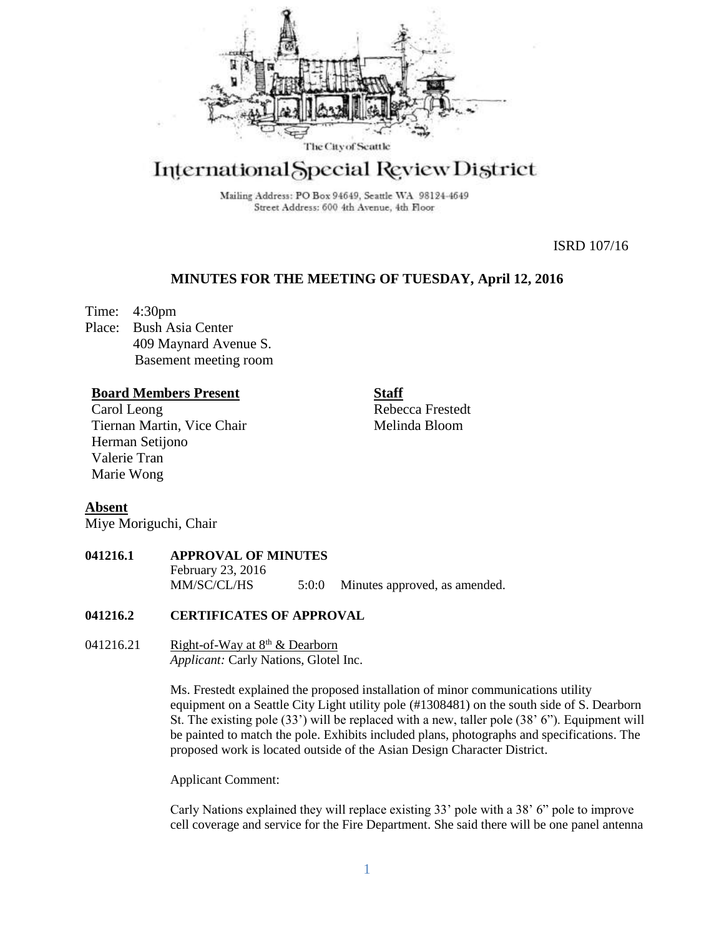

# International Special Review District

Mailing Address: PO Box 94649, Seattle WA 98124-4649 Street Address: 600 4th Avenue, 4th Floor

ISRD 107/16

## **MINUTES FOR THE MEETING OF TUESDAY, April 12, 2016**

Time: 4:30pm Place: Bush Asia Center 409 Maynard Avenue S. Basement meeting room

## **Board Members Present**

Carol Leong Tiernan Martin, Vice Chair Herman Setijono Valerie Tran Marie Wong

**Staff** Rebecca Frestedt Melinda Bloom

## **Absent**

Miye Moriguchi, Chair

## **041216.1 APPROVAL OF MINUTES**

February 23, 2016 MM/SC/CL/HS 5:0:0 Minutes approved, as amended.

#### **041216.2 CERTIFICATES OF APPROVAL**

041216.21 Right-of-Way at  $8<sup>th</sup>$  & Dearborn *Applicant:* Carly Nations, Glotel Inc.

> Ms. Frestedt explained the proposed installation of minor communications utility equipment on a Seattle City Light utility pole (#1308481) on the south side of S. Dearborn St. The existing pole (33') will be replaced with a new, taller pole (38' 6"). Equipment will be painted to match the pole. Exhibits included plans, photographs and specifications. The proposed work is located outside of the Asian Design Character District.

Applicant Comment:

Carly Nations explained they will replace existing 33' pole with a 38' 6" pole to improve cell coverage and service for the Fire Department. She said there will be one panel antenna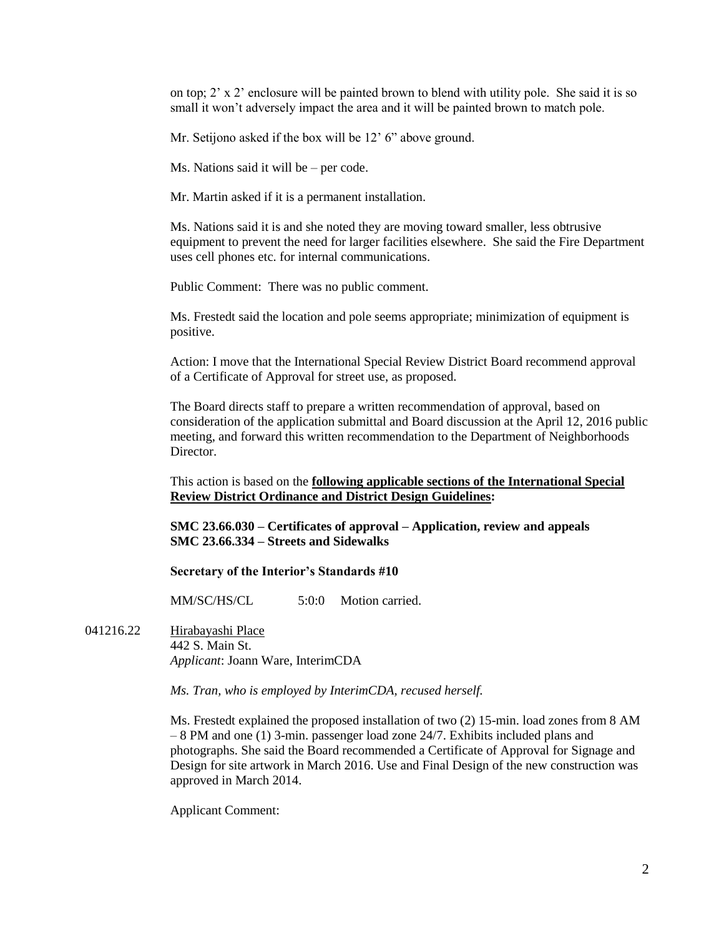on top;  $2' \times 2'$  enclosure will be painted brown to blend with utility pole. She said it is so small it won't adversely impact the area and it will be painted brown to match pole.

Mr. Setijono asked if the box will be 12' 6" above ground.

Ms. Nations said it will be – per code.

Mr. Martin asked if it is a permanent installation.

Ms. Nations said it is and she noted they are moving toward smaller, less obtrusive equipment to prevent the need for larger facilities elsewhere. She said the Fire Department uses cell phones etc. for internal communications.

Public Comment: There was no public comment.

Ms. Frestedt said the location and pole seems appropriate; minimization of equipment is positive.

Action: I move that the International Special Review District Board recommend approval of a Certificate of Approval for street use, as proposed.

The Board directs staff to prepare a written recommendation of approval, based on consideration of the application submittal and Board discussion at the April 12, 2016 public meeting, and forward this written recommendation to the Department of Neighborhoods Director.

This action is based on the **following applicable sections of the International Special Review District Ordinance and District Design Guidelines:** 

**SMC 23.66.030 – Certificates of approval – Application, review and appeals SMC 23.66.334 – Streets and Sidewalks**

#### **Secretary of the Interior's Standards #10**

MM/SC/HS/CL 5:0:0 Motion carried.

041216.22 Hirabayashi Place 442 S. Main St. *Applicant*: Joann Ware, InterimCDA

*Ms. Tran, who is employed by InterimCDA, recused herself.*

Ms. Frestedt explained the proposed installation of two (2) 15-min. load zones from 8 AM – 8 PM and one (1) 3-min. passenger load zone 24/7. Exhibits included plans and photographs. She said the Board recommended a Certificate of Approval for Signage and Design for site artwork in March 2016. Use and Final Design of the new construction was approved in March 2014.

Applicant Comment: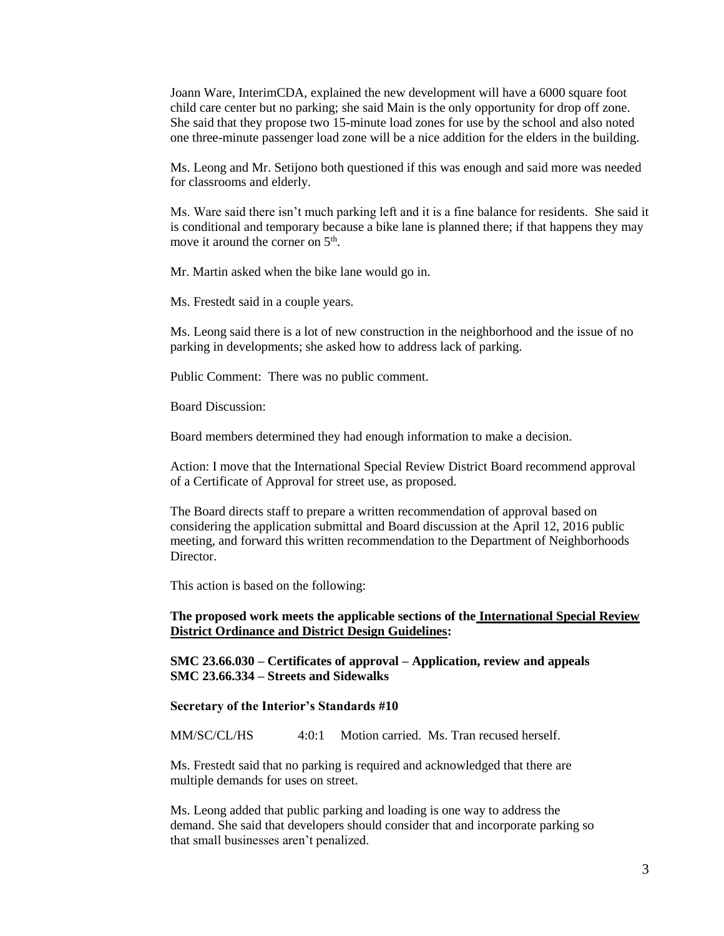Joann Ware, InterimCDA, explained the new development will have a 6000 square foot child care center but no parking; she said Main is the only opportunity for drop off zone. She said that they propose two 15-minute load zones for use by the school and also noted one three-minute passenger load zone will be a nice addition for the elders in the building.

Ms. Leong and Mr. Setijono both questioned if this was enough and said more was needed for classrooms and elderly.

Ms. Ware said there isn't much parking left and it is a fine balance for residents. She said it is conditional and temporary because a bike lane is planned there; if that happens they may move it around the corner on  $5<sup>th</sup>$ .

Mr. Martin asked when the bike lane would go in.

Ms. Frestedt said in a couple years.

Ms. Leong said there is a lot of new construction in the neighborhood and the issue of no parking in developments; she asked how to address lack of parking.

Public Comment: There was no public comment.

Board Discussion:

Board members determined they had enough information to make a decision.

Action: I move that the International Special Review District Board recommend approval of a Certificate of Approval for street use, as proposed.

The Board directs staff to prepare a written recommendation of approval based on considering the application submittal and Board discussion at the April 12, 2016 public meeting, and forward this written recommendation to the Department of Neighborhoods **Director** 

This action is based on the following:

#### **The proposed work meets the applicable sections of the International Special Review District Ordinance and District Design Guidelines:**

**SMC 23.66.030 – Certificates of approval – Application, review and appeals SMC 23.66.334 – Streets and Sidewalks**

#### **Secretary of the Interior's Standards #10**

MM/SC/CL/HS 4:0:1 Motion carried. Ms. Tran recused herself.

Ms. Frestedt said that no parking is required and acknowledged that there are multiple demands for uses on street.

Ms. Leong added that public parking and loading is one way to address the demand. She said that developers should consider that and incorporate parking so that small businesses aren't penalized.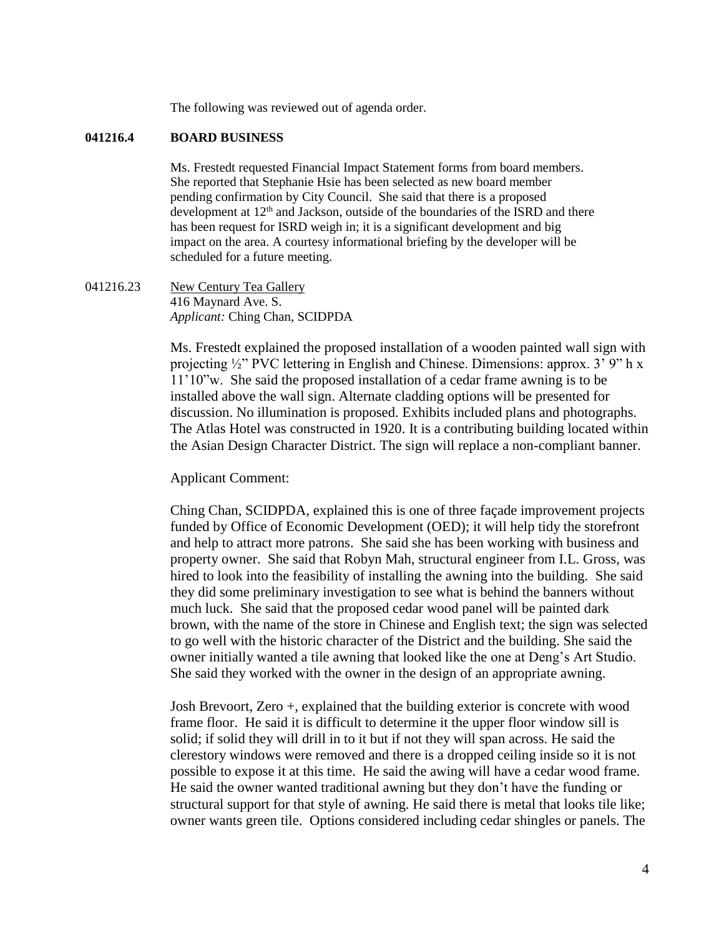The following was reviewed out of agenda order.

#### **041216.4 BOARD BUSINESS**

Ms. Frestedt requested Financial Impact Statement forms from board members. She reported that Stephanie Hsie has been selected as new board member pending confirmation by City Council. She said that there is a proposed development at  $12<sup>th</sup>$  and Jackson, outside of the boundaries of the ISRD and there has been request for ISRD weigh in; it is a significant development and big impact on the area. A courtesy informational briefing by the developer will be scheduled for a future meeting.

041216.23 New Century Tea Gallery 416 Maynard Ave. S. *Applicant:* Ching Chan, SCIDPDA

> Ms. Frestedt explained the proposed installation of a wooden painted wall sign with projecting ½" PVC lettering in English and Chinese. Dimensions: approx. 3' 9" h x 11'10"w. She said the proposed installation of a cedar frame awning is to be installed above the wall sign. Alternate cladding options will be presented for discussion. No illumination is proposed. Exhibits included plans and photographs. The Atlas Hotel was constructed in 1920. It is a contributing building located within the Asian Design Character District. The sign will replace a non-compliant banner.

#### Applicant Comment:

Ching Chan, SCIDPDA, explained this is one of three façade improvement projects funded by Office of Economic Development (OED); it will help tidy the storefront and help to attract more patrons. She said she has been working with business and property owner. She said that Robyn Mah, structural engineer from I.L. Gross, was hired to look into the feasibility of installing the awning into the building. She said they did some preliminary investigation to see what is behind the banners without much luck. She said that the proposed cedar wood panel will be painted dark brown, with the name of the store in Chinese and English text; the sign was selected to go well with the historic character of the District and the building. She said the owner initially wanted a tile awning that looked like the one at Deng's Art Studio. She said they worked with the owner in the design of an appropriate awning.

Josh Brevoort, Zero +, explained that the building exterior is concrete with wood frame floor. He said it is difficult to determine it the upper floor window sill is solid; if solid they will drill in to it but if not they will span across. He said the clerestory windows were removed and there is a dropped ceiling inside so it is not possible to expose it at this time. He said the awing will have a cedar wood frame. He said the owner wanted traditional awning but they don't have the funding or structural support for that style of awning. He said there is metal that looks tile like; owner wants green tile. Options considered including cedar shingles or panels. The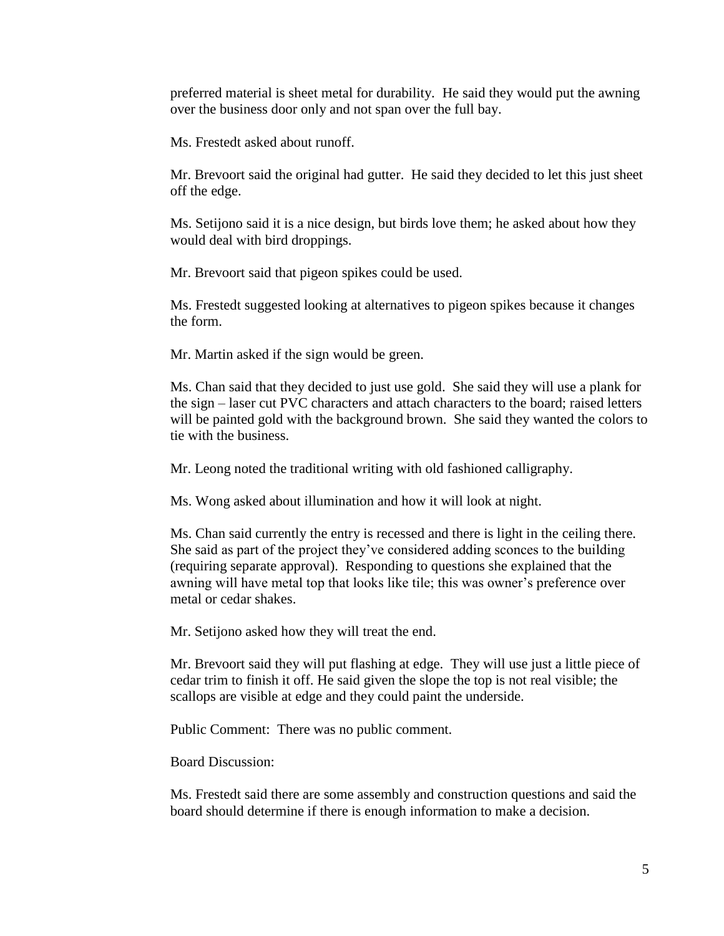preferred material is sheet metal for durability. He said they would put the awning over the business door only and not span over the full bay.

Ms. Frestedt asked about runoff.

Mr. Brevoort said the original had gutter. He said they decided to let this just sheet off the edge.

Ms. Setijono said it is a nice design, but birds love them; he asked about how they would deal with bird droppings.

Mr. Brevoort said that pigeon spikes could be used.

Ms. Frestedt suggested looking at alternatives to pigeon spikes because it changes the form.

Mr. Martin asked if the sign would be green.

Ms. Chan said that they decided to just use gold. She said they will use a plank for the sign – laser cut PVC characters and attach characters to the board; raised letters will be painted gold with the background brown. She said they wanted the colors to tie with the business.

Mr. Leong noted the traditional writing with old fashioned calligraphy.

Ms. Wong asked about illumination and how it will look at night.

Ms. Chan said currently the entry is recessed and there is light in the ceiling there. She said as part of the project they've considered adding sconces to the building (requiring separate approval). Responding to questions she explained that the awning will have metal top that looks like tile; this was owner's preference over metal or cedar shakes.

Mr. Setijono asked how they will treat the end.

Mr. Brevoort said they will put flashing at edge. They will use just a little piece of cedar trim to finish it off. He said given the slope the top is not real visible; the scallops are visible at edge and they could paint the underside.

Public Comment: There was no public comment.

Board Discussion:

Ms. Frestedt said there are some assembly and construction questions and said the board should determine if there is enough information to make a decision.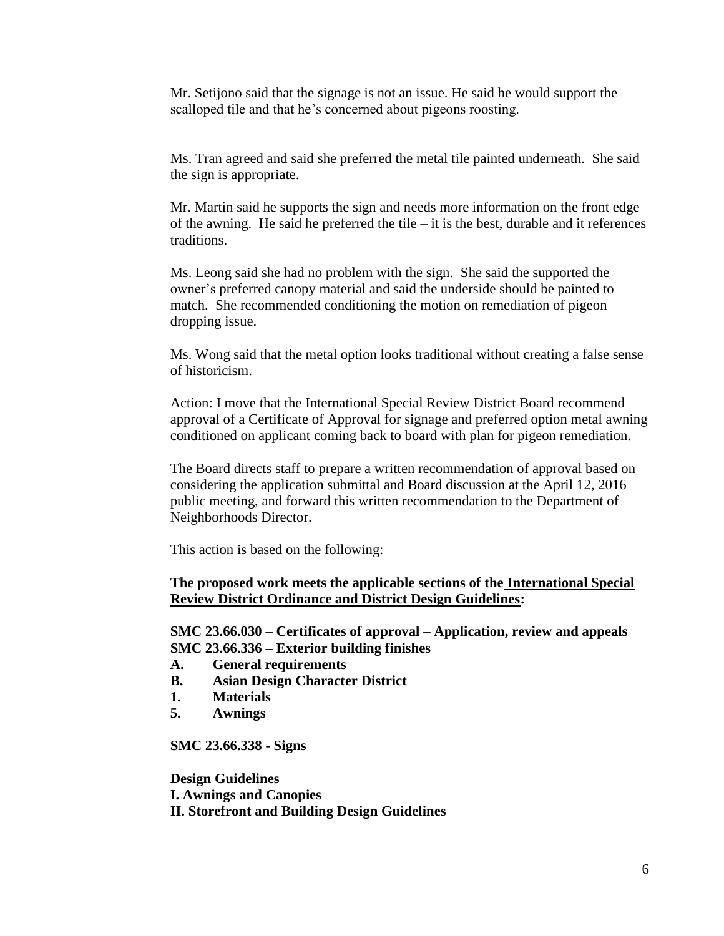Mr. Setijono said that the signage is not an issue. He said he would support the scalloped tile and that he's concerned about pigeons roosting.

Ms. Tran agreed and said she preferred the metal tile painted underneath. She said the sign is appropriate.

Mr. Martin said he supports the sign and needs more information on the front edge of the awning. He said he preferred the tile  $-$  it is the best, durable and it references traditions.

Ms. Leong said she had no problem with the sign. She said the supported the owner's preferred canopy material and said the underside should be painted to match. She recommended conditioning the motion on remediation of pigeon dropping issue.

Ms. Wong said that the metal option looks traditional without creating a false sense of historicism.

Action: I move that the International Special Review District Board recommend approval of a Certificate of Approval for signage and preferred option metal awning conditioned on applicant coming back to board with plan for pigeon remediation.

The Board directs staff to prepare a written recommendation of approval based on considering the application submittal and Board discussion at the April 12, 2016 public meeting, and forward this written recommendation to the Department of Neighborhoods Director.

This action is based on the following:

## **The proposed work meets the applicable sections of the International Special Review District Ordinance and District Design Guidelines:**

**SMC 23.66.030 – Certificates of approval – Application, review and appeals SMC 23.66.336 – Exterior building finishes**

- **A. General requirements**
- **B. Asian Design Character District**
- **1. Materials**
- **5. Awnings**

**SMC 23.66.338 - Signs**

**Design Guidelines I. Awnings and Canopies II. Storefront and Building Design Guidelines**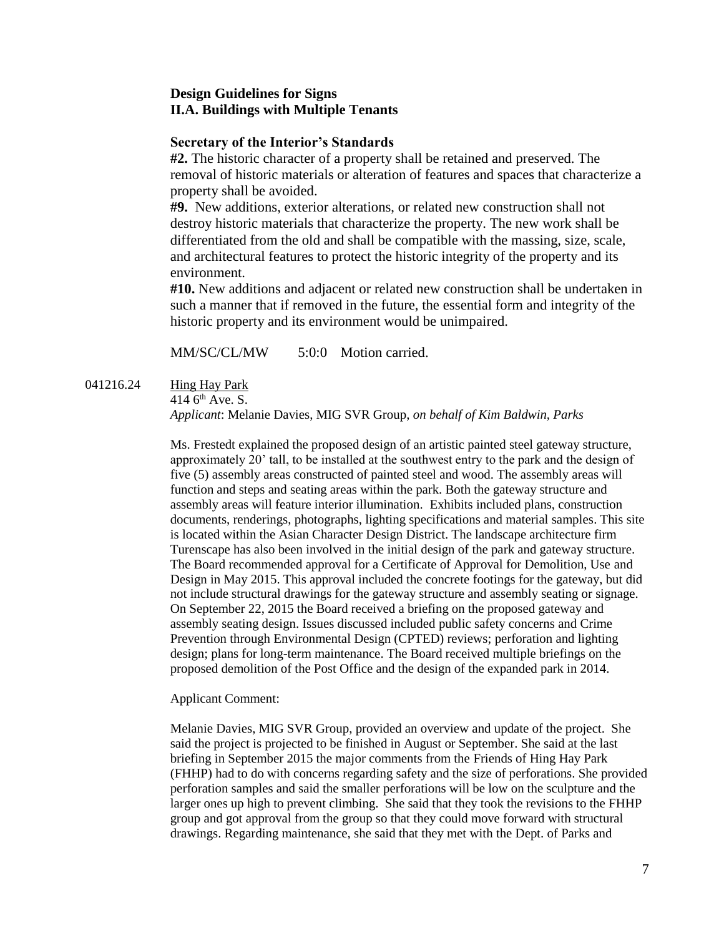## **Design Guidelines for Signs II.A. Buildings with Multiple Tenants**

### **Secretary of the Interior's Standards**

**#2.** The historic character of a property shall be retained and preserved. The removal of historic materials or alteration of features and spaces that characterize a property shall be avoided.

**#9.** New additions, exterior alterations, or related new construction shall not destroy historic materials that characterize the property. The new work shall be differentiated from the old and shall be compatible with the massing, size, scale, and architectural features to protect the historic integrity of the property and its environment.

**#10.** New additions and adjacent or related new construction shall be undertaken in such a manner that if removed in the future, the essential form and integrity of the historic property and its environment would be unimpaired.

MM/SC/CL/MW 5:0:0 Motion carried.

#### 041216.24 Hing Hay Park

414  $6<sup>th</sup>$  Ave. S.

*Applicant*: Melanie Davies, MIG SVR Group, *on behalf of Kim Baldwin, Parks*

Ms. Frestedt explained the proposed design of an artistic painted steel gateway structure, approximately 20' tall, to be installed at the southwest entry to the park and the design of five (5) assembly areas constructed of painted steel and wood. The assembly areas will function and steps and seating areas within the park. Both the gateway structure and assembly areas will feature interior illumination. Exhibits included plans, construction documents, renderings, photographs, lighting specifications and material samples. This site is located within the Asian Character Design District. The landscape architecture firm Turenscape has also been involved in the initial design of the park and gateway structure. The Board recommended approval for a Certificate of Approval for Demolition, Use and Design in May 2015. This approval included the concrete footings for the gateway, but did not include structural drawings for the gateway structure and assembly seating or signage. On September 22, 2015 the Board received a briefing on the proposed gateway and assembly seating design. Issues discussed included public safety concerns and Crime Prevention through Environmental Design (CPTED) reviews; perforation and lighting design; plans for long-term maintenance. The Board received multiple briefings on the proposed demolition of the Post Office and the design of the expanded park in 2014.

#### Applicant Comment:

Melanie Davies, MIG SVR Group, provided an overview and update of the project. She said the project is projected to be finished in August or September. She said at the last briefing in September 2015 the major comments from the Friends of Hing Hay Park (FHHP) had to do with concerns regarding safety and the size of perforations. She provided perforation samples and said the smaller perforations will be low on the sculpture and the larger ones up high to prevent climbing. She said that they took the revisions to the FHHP group and got approval from the group so that they could move forward with structural drawings. Regarding maintenance, she said that they met with the Dept. of Parks and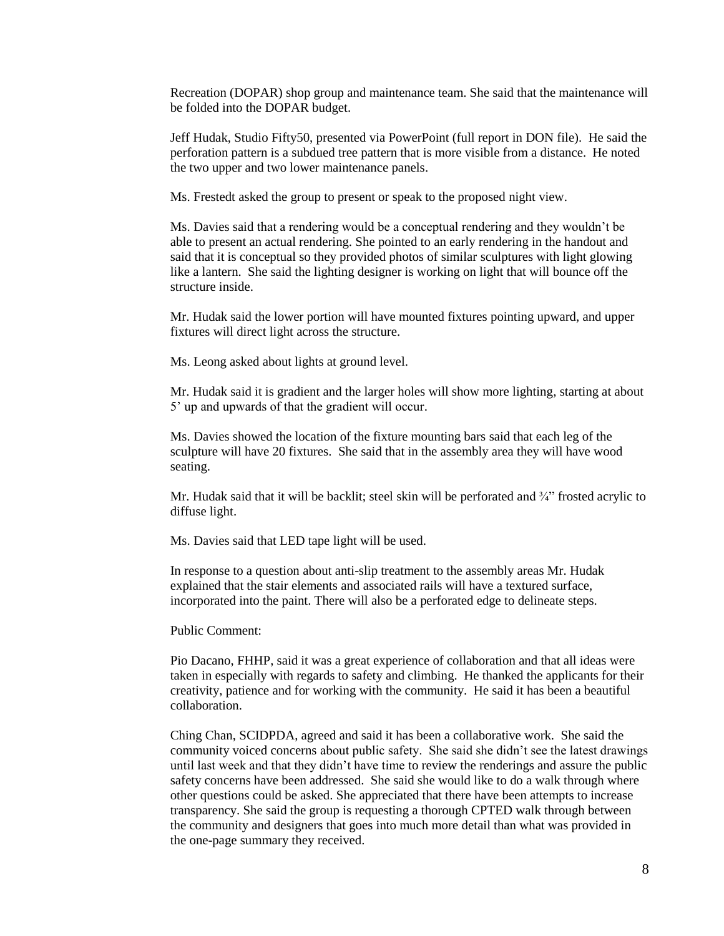Recreation (DOPAR) shop group and maintenance team. She said that the maintenance will be folded into the DOPAR budget.

Jeff Hudak, Studio Fifty50, presented via PowerPoint (full report in DON file). He said the perforation pattern is a subdued tree pattern that is more visible from a distance. He noted the two upper and two lower maintenance panels.

Ms. Frestedt asked the group to present or speak to the proposed night view.

Ms. Davies said that a rendering would be a conceptual rendering and they wouldn't be able to present an actual rendering. She pointed to an early rendering in the handout and said that it is conceptual so they provided photos of similar sculptures with light glowing like a lantern. She said the lighting designer is working on light that will bounce off the structure inside.

Mr. Hudak said the lower portion will have mounted fixtures pointing upward, and upper fixtures will direct light across the structure.

Ms. Leong asked about lights at ground level.

Mr. Hudak said it is gradient and the larger holes will show more lighting, starting at about 5' up and upwards of that the gradient will occur.

Ms. Davies showed the location of the fixture mounting bars said that each leg of the sculpture will have 20 fixtures. She said that in the assembly area they will have wood seating.

Mr. Hudak said that it will be backlit; steel skin will be perforated and  $\frac{3}{4}$ " frosted acrylic to diffuse light.

Ms. Davies said that LED tape light will be used.

In response to a question about anti-slip treatment to the assembly areas Mr. Hudak explained that the stair elements and associated rails will have a textured surface, incorporated into the paint. There will also be a perforated edge to delineate steps.

Public Comment:

Pio Dacano, FHHP, said it was a great experience of collaboration and that all ideas were taken in especially with regards to safety and climbing. He thanked the applicants for their creativity, patience and for working with the community. He said it has been a beautiful collaboration.

Ching Chan, SCIDPDA, agreed and said it has been a collaborative work. She said the community voiced concerns about public safety. She said she didn't see the latest drawings until last week and that they didn't have time to review the renderings and assure the public safety concerns have been addressed. She said she would like to do a walk through where other questions could be asked. She appreciated that there have been attempts to increase transparency. She said the group is requesting a thorough CPTED walk through between the community and designers that goes into much more detail than what was provided in the one-page summary they received.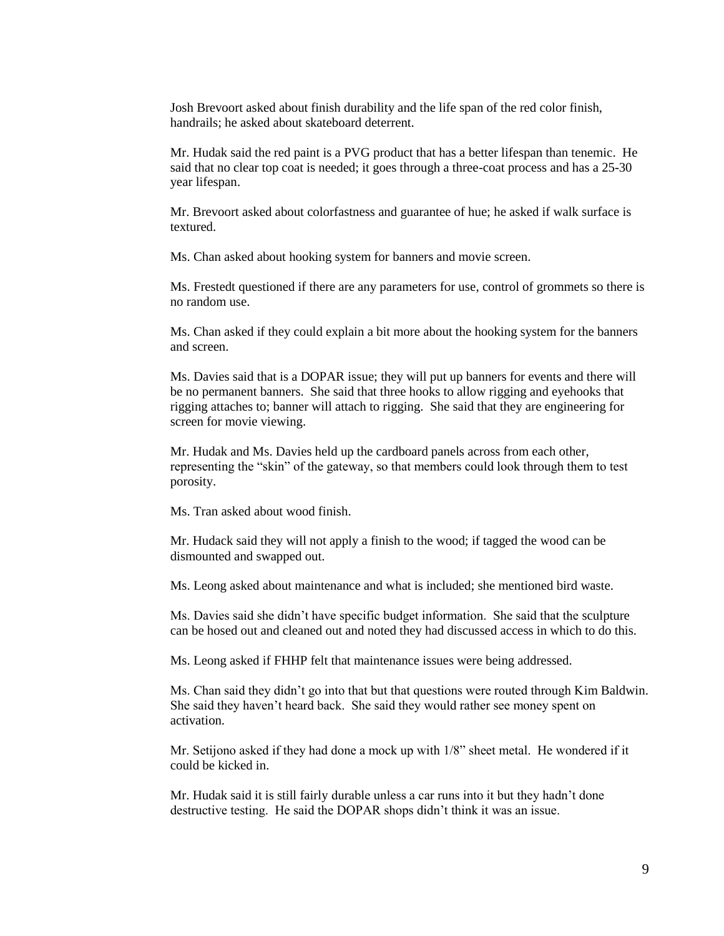Josh Brevoort asked about finish durability and the life span of the red color finish, handrails; he asked about skateboard deterrent.

Mr. Hudak said the red paint is a PVG product that has a better lifespan than tenemic. He said that no clear top coat is needed; it goes through a three-coat process and has a 25-30 year lifespan.

Mr. Brevoort asked about colorfastness and guarantee of hue; he asked if walk surface is textured.

Ms. Chan asked about hooking system for banners and movie screen.

Ms. Frestedt questioned if there are any parameters for use, control of grommets so there is no random use.

Ms. Chan asked if they could explain a bit more about the hooking system for the banners and screen.

Ms. Davies said that is a DOPAR issue; they will put up banners for events and there will be no permanent banners. She said that three hooks to allow rigging and eyehooks that rigging attaches to; banner will attach to rigging. She said that they are engineering for screen for movie viewing.

Mr. Hudak and Ms. Davies held up the cardboard panels across from each other, representing the "skin" of the gateway, so that members could look through them to test porosity.

Ms. Tran asked about wood finish.

Mr. Hudack said they will not apply a finish to the wood; if tagged the wood can be dismounted and swapped out.

Ms. Leong asked about maintenance and what is included; she mentioned bird waste.

Ms. Davies said she didn't have specific budget information. She said that the sculpture can be hosed out and cleaned out and noted they had discussed access in which to do this.

Ms. Leong asked if FHHP felt that maintenance issues were being addressed.

Ms. Chan said they didn't go into that but that questions were routed through Kim Baldwin. She said they haven't heard back. She said they would rather see money spent on activation.

Mr. Setijono asked if they had done a mock up with 1/8" sheet metal. He wondered if it could be kicked in.

Mr. Hudak said it is still fairly durable unless a car runs into it but they hadn't done destructive testing. He said the DOPAR shops didn't think it was an issue.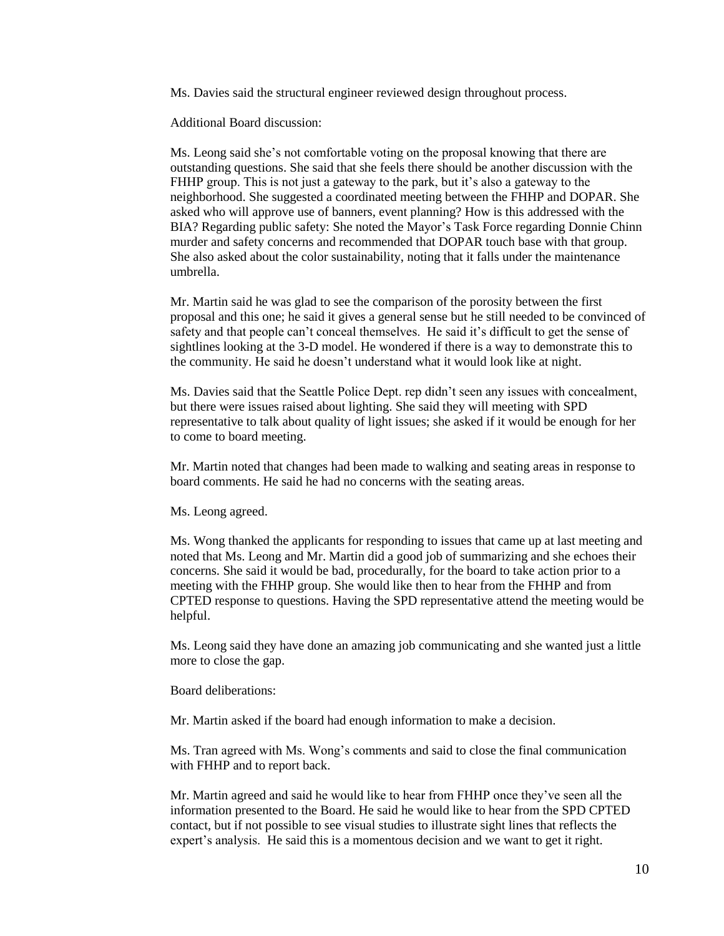Ms. Davies said the structural engineer reviewed design throughout process.

Additional Board discussion:

Ms. Leong said she's not comfortable voting on the proposal knowing that there are outstanding questions. She said that she feels there should be another discussion with the FHHP group. This is not just a gateway to the park, but it's also a gateway to the neighborhood. She suggested a coordinated meeting between the FHHP and DOPAR. She asked who will approve use of banners, event planning? How is this addressed with the BIA? Regarding public safety: She noted the Mayor's Task Force regarding Donnie Chinn murder and safety concerns and recommended that DOPAR touch base with that group. She also asked about the color sustainability, noting that it falls under the maintenance umbrella.

Mr. Martin said he was glad to see the comparison of the porosity between the first proposal and this one; he said it gives a general sense but he still needed to be convinced of safety and that people can't conceal themselves. He said it's difficult to get the sense of sightlines looking at the 3-D model. He wondered if there is a way to demonstrate this to the community. He said he doesn't understand what it would look like at night.

Ms. Davies said that the Seattle Police Dept. rep didn't seen any issues with concealment, but there were issues raised about lighting. She said they will meeting with SPD representative to talk about quality of light issues; she asked if it would be enough for her to come to board meeting.

Mr. Martin noted that changes had been made to walking and seating areas in response to board comments. He said he had no concerns with the seating areas.

Ms. Leong agreed.

Ms. Wong thanked the applicants for responding to issues that came up at last meeting and noted that Ms. Leong and Mr. Martin did a good job of summarizing and she echoes their concerns. She said it would be bad, procedurally, for the board to take action prior to a meeting with the FHHP group. She would like then to hear from the FHHP and from CPTED response to questions. Having the SPD representative attend the meeting would be helpful.

Ms. Leong said they have done an amazing job communicating and she wanted just a little more to close the gap.

Board deliberations:

Mr. Martin asked if the board had enough information to make a decision.

Ms. Tran agreed with Ms. Wong's comments and said to close the final communication with FHHP and to report back.

Mr. Martin agreed and said he would like to hear from FHHP once they've seen all the information presented to the Board. He said he would like to hear from the SPD CPTED contact, but if not possible to see visual studies to illustrate sight lines that reflects the expert's analysis. He said this is a momentous decision and we want to get it right.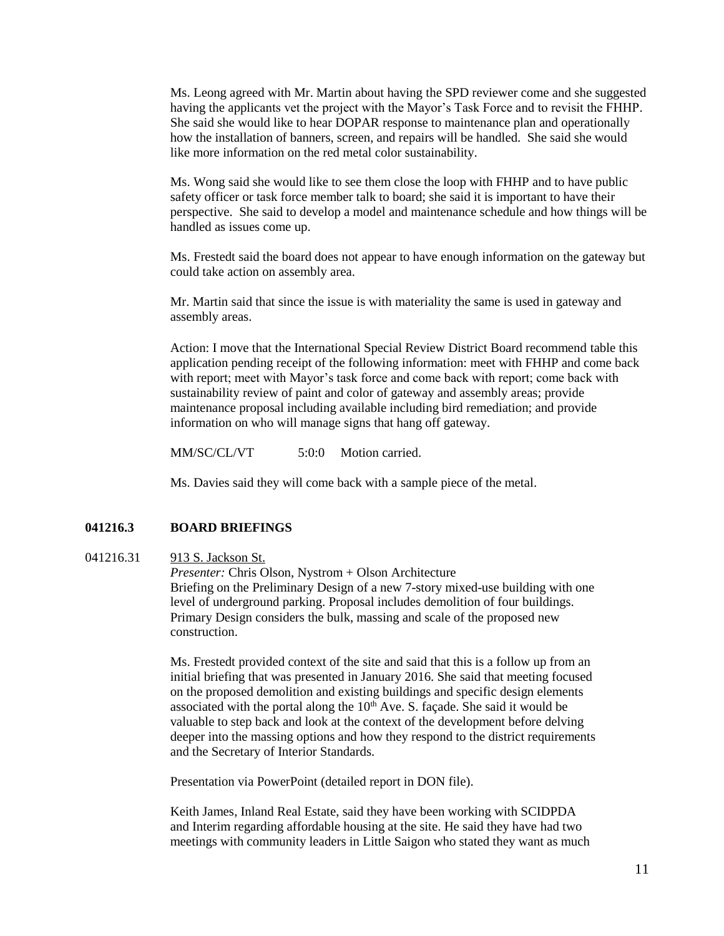Ms. Leong agreed with Mr. Martin about having the SPD reviewer come and she suggested having the applicants vet the project with the Mayor's Task Force and to revisit the FHHP. She said she would like to hear DOPAR response to maintenance plan and operationally how the installation of banners, screen, and repairs will be handled. She said she would like more information on the red metal color sustainability.

Ms. Wong said she would like to see them close the loop with FHHP and to have public safety officer or task force member talk to board; she said it is important to have their perspective. She said to develop a model and maintenance schedule and how things will be handled as issues come up.

Ms. Frestedt said the board does not appear to have enough information on the gateway but could take action on assembly area.

Mr. Martin said that since the issue is with materiality the same is used in gateway and assembly areas.

Action: I move that the International Special Review District Board recommend table this application pending receipt of the following information: meet with FHHP and come back with report; meet with Mayor's task force and come back with report; come back with sustainability review of paint and color of gateway and assembly areas; provide maintenance proposal including available including bird remediation; and provide information on who will manage signs that hang off gateway.

MM/SC/CL/VT 5:0:0 Motion carried.

Ms. Davies said they will come back with a sample piece of the metal.

#### **041216.3 BOARD BRIEFINGS**

#### 041216.31 913 S. Jackson St.

*Presenter:* Chris Olson, Nystrom + Olson Architecture Briefing on the Preliminary Design of a new 7-story mixed-use building with one level of underground parking. Proposal includes demolition of four buildings. Primary Design considers the bulk, massing and scale of the proposed new construction.

Ms. Frestedt provided context of the site and said that this is a follow up from an initial briefing that was presented in January 2016. She said that meeting focused on the proposed demolition and existing buildings and specific design elements associated with the portal along the  $10<sup>th</sup>$  Ave. S. façade. She said it would be valuable to step back and look at the context of the development before delving deeper into the massing options and how they respond to the district requirements and the Secretary of Interior Standards.

Presentation via PowerPoint (detailed report in DON file).

Keith James, Inland Real Estate, said they have been working with SCIDPDA and Interim regarding affordable housing at the site. He said they have had two meetings with community leaders in Little Saigon who stated they want as much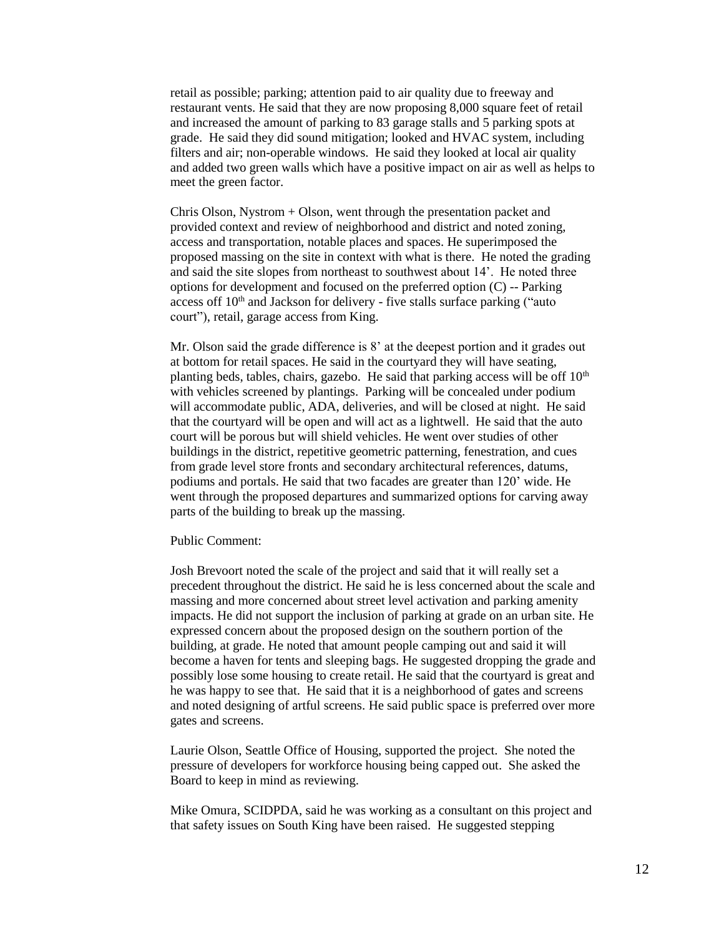retail as possible; parking; attention paid to air quality due to freeway and restaurant vents. He said that they are now proposing 8,000 square feet of retail and increased the amount of parking to 83 garage stalls and 5 parking spots at grade. He said they did sound mitigation; looked and HVAC system, including filters and air; non-operable windows. He said they looked at local air quality and added two green walls which have a positive impact on air as well as helps to meet the green factor.

Chris Olson, Nystrom + Olson, went through the presentation packet and provided context and review of neighborhood and district and noted zoning, access and transportation, notable places and spaces. He superimposed the proposed massing on the site in context with what is there. He noted the grading and said the site slopes from northeast to southwest about 14'. He noted three options for development and focused on the preferred option (C) -- Parking access of  $10<sup>th</sup>$  and Jackson for delivery - five stalls surface parking ("auto court"), retail, garage access from King.

Mr. Olson said the grade difference is 8' at the deepest portion and it grades out at bottom for retail spaces. He said in the courtyard they will have seating, planting beds, tables, chairs, gazebo. He said that parking access will be off  $10<sup>th</sup>$ with vehicles screened by plantings. Parking will be concealed under podium will accommodate public, ADA, deliveries, and will be closed at night. He said that the courtyard will be open and will act as a lightwell. He said that the auto court will be porous but will shield vehicles. He went over studies of other buildings in the district, repetitive geometric patterning, fenestration, and cues from grade level store fronts and secondary architectural references, datums, podiums and portals. He said that two facades are greater than 120' wide. He went through the proposed departures and summarized options for carving away parts of the building to break up the massing.

Public Comment:

Josh Brevoort noted the scale of the project and said that it will really set a precedent throughout the district. He said he is less concerned about the scale and massing and more concerned about street level activation and parking amenity impacts. He did not support the inclusion of parking at grade on an urban site. He expressed concern about the proposed design on the southern portion of the building, at grade. He noted that amount people camping out and said it will become a haven for tents and sleeping bags. He suggested dropping the grade and possibly lose some housing to create retail. He said that the courtyard is great and he was happy to see that. He said that it is a neighborhood of gates and screens and noted designing of artful screens. He said public space is preferred over more gates and screens.

Laurie Olson, Seattle Office of Housing, supported the project. She noted the pressure of developers for workforce housing being capped out. She asked the Board to keep in mind as reviewing.

Mike Omura, SCIDPDA, said he was working as a consultant on this project and that safety issues on South King have been raised. He suggested stepping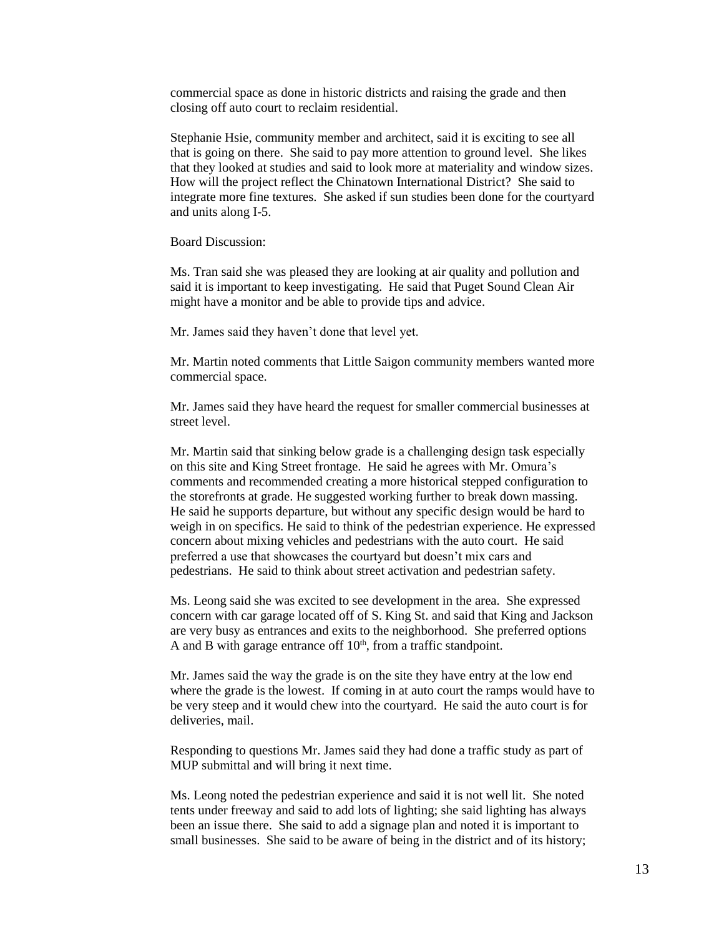commercial space as done in historic districts and raising the grade and then closing off auto court to reclaim residential.

Stephanie Hsie, community member and architect, said it is exciting to see all that is going on there. She said to pay more attention to ground level. She likes that they looked at studies and said to look more at materiality and window sizes. How will the project reflect the Chinatown International District? She said to integrate more fine textures. She asked if sun studies been done for the courtyard and units along I-5.

Board Discussion:

Ms. Tran said she was pleased they are looking at air quality and pollution and said it is important to keep investigating. He said that Puget Sound Clean Air might have a monitor and be able to provide tips and advice.

Mr. James said they haven't done that level yet.

Mr. Martin noted comments that Little Saigon community members wanted more commercial space.

Mr. James said they have heard the request for smaller commercial businesses at street level.

Mr. Martin said that sinking below grade is a challenging design task especially on this site and King Street frontage. He said he agrees with Mr. Omura's comments and recommended creating a more historical stepped configuration to the storefronts at grade. He suggested working further to break down massing. He said he supports departure, but without any specific design would be hard to weigh in on specifics. He said to think of the pedestrian experience. He expressed concern about mixing vehicles and pedestrians with the auto court. He said preferred a use that showcases the courtyard but doesn't mix cars and pedestrians. He said to think about street activation and pedestrian safety.

Ms. Leong said she was excited to see development in the area. She expressed concern with car garage located off of S. King St. and said that King and Jackson are very busy as entrances and exits to the neighborhood. She preferred options A and B with garage entrance off  $10<sup>th</sup>$ , from a traffic standpoint.

Mr. James said the way the grade is on the site they have entry at the low end where the grade is the lowest. If coming in at auto court the ramps would have to be very steep and it would chew into the courtyard. He said the auto court is for deliveries, mail.

Responding to questions Mr. James said they had done a traffic study as part of MUP submittal and will bring it next time.

Ms. Leong noted the pedestrian experience and said it is not well lit. She noted tents under freeway and said to add lots of lighting; she said lighting has always been an issue there. She said to add a signage plan and noted it is important to small businesses. She said to be aware of being in the district and of its history;